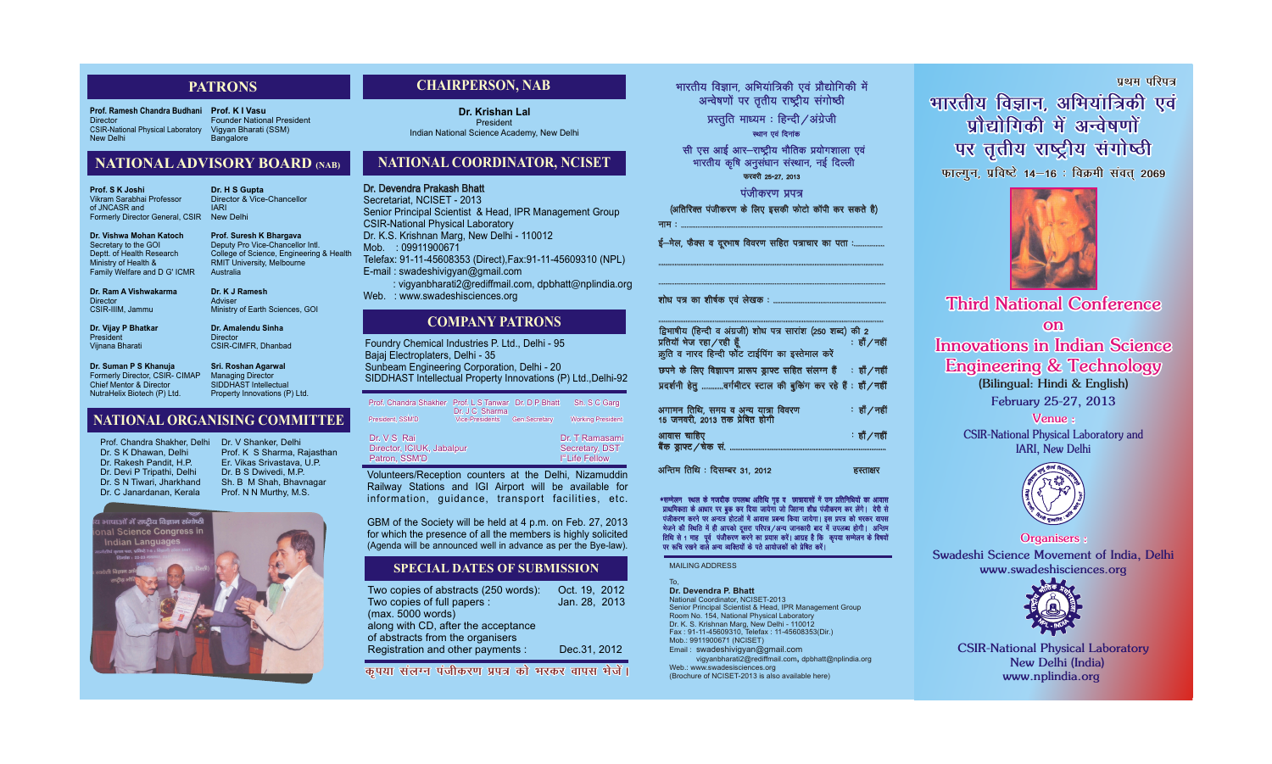*Third National Conference on Innovations in Indian Science Engineering & Technology*

*(Bilingual: Hindi & English) February 25-27, 2013*

*Venue : CSIR-National Physical Laboratory and IARI, New Delhi*



*CSIR-National Physical Laboratory New Delhi (India) www.nplindia.org*

भारतीय विज्ञान, अभियांत्रिकी एवं प्रौद्योगिकी में (अतिरिक्त पंजीकरण के लिए इसकी फोटो कॉपी कर सकते है) uke % ---------------------------------------------------------------------------------------------------------------

ई-मेल, फैक्स व दूरभाष विवरण सहित पत्राचार का पता :............

*Organisers : Swadeshi Science Movement of India, Delhi www.swadeshisciences.org*



---------------------------------------------------------------------------------------------------------------------------- द्विभाषीय (हिन्दी व अंग्रजी) शोध पत्र सारांश (250 शब्द) की 2  $\frac{1}{2}$ प्रतियाँ भेज रहा/रही हूँ  $\frac{1}{2}$  ,  $\frac{1}{2}$  ,  $\frac{1}{2}$  ,  $\frac{1}{2}$  ,  $\frac{1}{2}$  ,  $\frac{1}{2}$  ,  $\frac{1}{2}$  ,  $\frac{1}{2}$ क्रूति व नारद हिन्दी फोंट टाईपिंग का इस्तेमाल करे छपने के लिए विज्ञापन प्रारूप ड़ाफ्ट सहित संलग्न हैं ∶ हाँ ∕ नहीं प्रदर्शनी हेतू ............वर्गमीटर स्टाल की बुकिंग कर रहे हैं : हाँ/नहीं अगामन तिथि, समय व अन्य यात्रा विवरण  $\cdot$ ां हाँ $/$ नहीं 15 जनवरी, 2013 तक प्रेषित होगी आवास चाहिए $\mathbf{v} = \mathbf{w} \cdot \mathbf{w}$  , where  $\mathbf{v} = \mathbf{w} \cdot \mathbf{w}$ 

बैंक ड़ाफ्ट  $\ell$ चेक सं.

अन्तिम तिथि : दिसम्बर 31, 2012  $\overline{g}$  and  $\overline{g}$  and  $\overline{g}$ 

\*सम्मेलन स्थल के नजदीक उपलब्ध अतिथि गृह व छात्रावासों में उन प्रतिनिधियों का आवास प्राथमिकता के आधार पर बुक कर दिया जायेगा जो जितना शीध्र पंजीकरण कर लेंगे। देरी से पंजीकरण करने पर अन्यत्र होटलों में आवास प्रबन्ध किया जायेगा। इस प्रपत्र को भरकर वापस भेजने की स्थिति में ही आपको दूसरा परिपत्र/अन्य जानकारी बाद में उपलब्ध होगी। अन्तिम 'तिथि से 1 माह) पूर्व पंजीकरण करने का प्रयास करें। आग्रह है कि कृपया सम्मेलन के विषयों<br>'पर रूचि रखने वाले अन्य व्यक्तियों के पते आयोजकों को प्रेषित करें। पर रूचि रखने वाले अन्य व्यक्तियों के पते आयोजकों को प्रेषित करें। \*सम्मेलन स्थल के नजदीक उपलब्ध अतिथि गृह व छात्रावासों में उन प्रतिनिधियों का आवास<br> प्राथमिकता के आधार पर बुक कर दिया जायेगा जो जितना शीध्र पंजीकरण कर लेंगे। देरी से<br> पंजीकरण करने पर अन्यत्र होटलों में आवास प्रबन्ध कि

----------------------------------------------------------------------------------------------------------------------------

-----------------------------------------------------------------------------------------------------------------------------

शोध पत्र का शीर्षक एवं लेखक : ........

Web.: www.swadesisciences.org (Brochure of NCISET-2013 is also available here)

Dr. Devendra Prakash Bhatt Secretariat, NCISET - 2013 Senior Principal Scientist & Head, IPR Management Group CSIR-National Physical Laboratory Dr. K.S. Krishnan Marg, New Delhi - 110012 Mob. : 09911900671 Telefax: 91-11-45608353 (Direct),Fax:91-11-45609310 (NPL) E-mail : swadeshivigyan@gmail.com : vigyanbharati2@rediffmail.com, dpbhatt@nplindia.org Web. : www.swadeshisciences.org **Dr. Devendra Prakash Bhatt**<br>Secretariat, NCISET - 2013<br>Senior Principal Scientist &<br>CSIR-National Physical Lab<br>Dr. K.S. Krishnan Marg, Nev<br>Mob. : 09911900671

**Prof. K I Vasu** Founder National President Vigyan Bharati (SSM) **Bangalore** 

MAILING ADDRESS

To, **Dr. Devendra P. Bhatt**

National Coordinator, NCISET-2013 Senior Principal Scientist & Head, IPR Management Group Room No. 154, National Physical Laboratory Dr. K. S. Krishnan Marg, New Delhi - 110012 Fax : 91-11-45609310, Telefax : 11-45608353(Dir.) Mob.: 9911900671 (NCISET) Email : swadeshivigyan@gmail.com

vigyanbharati2@rediffmail.com**,** dpbhatt@nplindia.org

<u>प्रथम परिपत्र</u> *Hivea Healing*, अभियांत्रिकी एवं **प्रौद्योगिकी में अन्वेषणों** पर तृतीय राष्ट्रीय संगोष्ठी **फाल्गुन, प्रविष्टे 14–16 : विक्रमी संवत् 2069** 



Foundry Chemical Industries P. Ltd., Delhi - 95 Bajaj Electroplaters, Delhi - 35 Sunbeam Engineering Corporation, Delhi - 20 SIDDHAST Intellectual Property Innovations (P) Ltd.,Delhi-92

#### **CHAIRPERSON, NAB**

### **NATIONAL COORDINATOR, NCISET**

#### **COMPANY PATRONS**

Volunteers/Reception counters at the Delhi, Nizamuddin Railway Stations and IGI Airport will be available for information, guidance, transport facilities, etc.

GBM of the Society will be held at 4 p.m. on Feb. 27, 2013 for which the presence of all the members is highly solicited (Agenda will be announced well in advance as per the Bye-law).

| Prof. Chandra Shakher     | Prof. L S Tanwar<br>Dr. J C Sharma | Dr. D P Bhatt        | Sh. S C Garg                |
|---------------------------|------------------------------------|----------------------|-----------------------------|
| President, SSM'D          | <b>Vice-Presidents</b>             | <b>Gen.Secretary</b> | <b>Working President</b>    |
| Dr. V S Rai               |                                    |                      | Dr. T Ramasami              |
| Director, ICIUK, Jabalpur |                                    |                      | Secretary, DST              |
| Patron, SSM'D             |                                    |                      | I <sup>st</sup> Life Fellow |

**Dr. Krishan Lal President** Indian National Science Academy, New Delhi

| Two copies of abstracts (250 words): | Oct. 19, 2012 |
|--------------------------------------|---------------|
| Two copies of full papers :          | Jan. 28, 2013 |
| (max. 5000 words)                    |               |
| along with CD, after the acceptance  |               |
| of abstracts from the organisers     |               |
| Registration and other payments :    | Dec.31, 2012  |

कपया संलग्न पंजीकरण प्रपत्र को भरकर वापस **भेजें**।

अन्वेषणों पर तृतीय राष्ट्रीय संगोष्ठी प्रस्तुति माध्यम $:$  हिन्दी  $/$ अंग्रेजी स्थान एवं दिनांक सी एस आई आर-राष्ट्रीय भौतिक प्रयोगशाला एवं भारतीय कृषि अनुसंधान संस्थान, नई दिल्ली पंजीकरण प्रपत्र फरवरी 25-27, 2013

#### **SPECIAL DATES OF SUBMISSION**

### **NATIONALADVISORY BOARD (NAB)**

#### **NATIONAL ORGANISING COMMITTEE**

**Prof. Ramesh Chandra Budhani Director** CSIR-National Physical Laboratory New Delhi

### **PATRONS**

**Prof. Chandra Shakher, Delhi Dr. S K Dhawan, Delhi Dr. Rakesh Pandit, H.P. Dr. Devi P Tripathi, Delhi Dr. S N Tiwari, Jharkhand Dr. C Janardanan, Kerala** 

**Dr. V Shanker, Delhi Prof. K S Sharma, Rajasthan Er. Vikas Srivastava, U.P. Dr. B S Dwivedi, M.P. Sh. B M Shah, Bhavnagar Prof. N N Murthy, M.S.**



**Dr. Suman P S Khanuja Former**ly **Director, CSIR- CIMAP Chief Mentor & Director NutraHelix Biotech (P) Ltd.**

**Dr. Vijay P Bhatkar President Vijnana Bharati**

**Prof. S K Joshi** Vikram Sarabhai Professor of JNCASR and Formerly Director General, CSIR

**Dr. Vishwa Mohan Katoch Secretary to the GOI Deptt. of Health Research Ministry of Health & Family Welfare and** D G' ICMR

**Dr. Ram A Vishwakarma Director CSIR-IIIM, Jammu**

> **Sri. Roshan Agarwal Managing Director SIDDHAST Intellectual Property Innovations (P) Ltd.**

**Dr. K J Ramesh Adviser Ministry of Earth Sciences, GOI**

**Dr. Amalendu Sinha Director CSIR-CIMFR, Dhanbad**

**Deputy Pro Vice-Chancellor Intl. College of Science, Engineering & Health RMIT University, Melbourne Australia**

**Prof. Suresh K Bhargava Dr. H S Gupta** Director & Vice-Chancellor IARI New Delhi